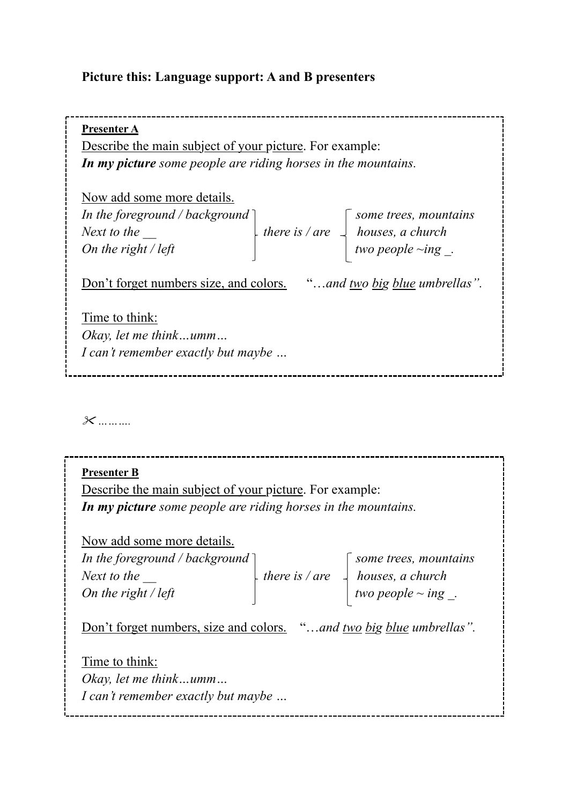## **Picture this: Language support: A and B presenters**

**Presenter A** Describe the main subject of your picture. For example: *In my picture some people are riding horses in the mountains.*  Now add some more details. *In the foreground / background* ]  $\qquad \qquad$  some trees, mountains *Next to the*  $\downarrow$  *there is / are*  $\downarrow$  *houses, a church On the right / left*  $\qquad \qquad \qquad$  two people ~ing . Don't forget numbers size, and colors. "…*and two big blue umbrellas".* Time to think: *Okay, let me think…umm… I can't remember exactly but maybe …* \_\_\_\_\_\_\_\_\_\_\_\_\_\_\_\_\_\_\_\_\_\_\_\_\_\_\_\_\_\_\_

" *……….*

**Presenter B**  Describe the main subject of your picture. For example: *In my picture some people are riding horses in the mountains.*  Now add some more details. *In the foreground / background* ] some trees, mountains *Next to the*  $\downarrow$  *there is / are*  $\downarrow$  *houses, a church On the right / left*  $\qquad \qquad \qquad$   $\qquad \qquad$  two people  $\sim$  ing. Don't forget numbers, size and colors. "…*and two big blue umbrellas".* Time to think: *Okay, let me think…umm… I can't remember exactly but maybe …*--------------------------------